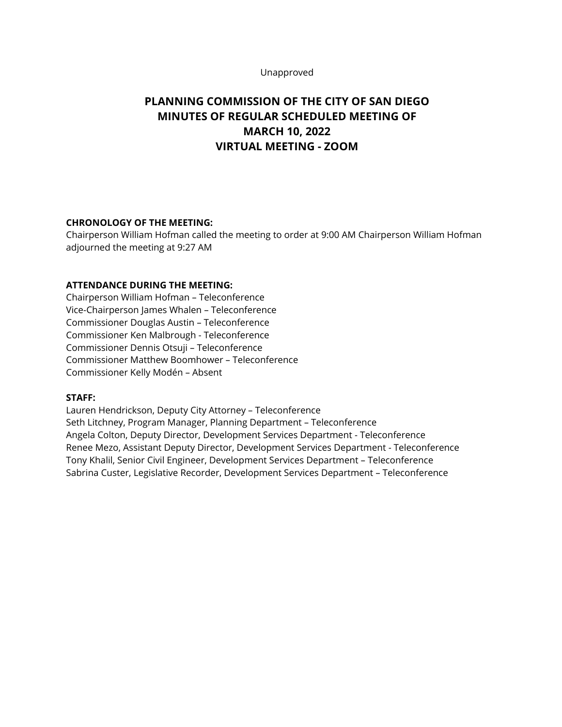#### Unapproved

# **PLANNING COMMISSION OF THE CITY OF SAN DIEGO MINUTES OF REGULAR SCHEDULED MEETING OF MARCH 10, 2022 VIRTUAL MEETING - ZOOM**

## **CHRONOLOGY OF THE MEETING:**

Chairperson William Hofman called the meeting to order at 9:00 AM Chairperson William Hofman adjourned the meeting at 9:27 AM

#### **ATTENDANCE DURING THE MEETING:**

Chairperson William Hofman – Teleconference Vice-Chairperson James Whalen – Teleconference Commissioner Douglas Austin – Teleconference Commissioner Ken Malbrough - Teleconference Commissioner Dennis Otsuji – Teleconference Commissioner Matthew Boomhower – Teleconference Commissioner Kelly Modén – Absent

#### **STAFF:**

Lauren Hendrickson, Deputy City Attorney – Teleconference Seth Litchney, Program Manager, Planning Department – Teleconference Angela Colton, Deputy Director, Development Services Department - Teleconference Renee Mezo, Assistant Deputy Director, Development Services Department - Teleconference Tony Khalil, Senior Civil Engineer, Development Services Department – Teleconference Sabrina Custer, Legislative Recorder, Development Services Department – Teleconference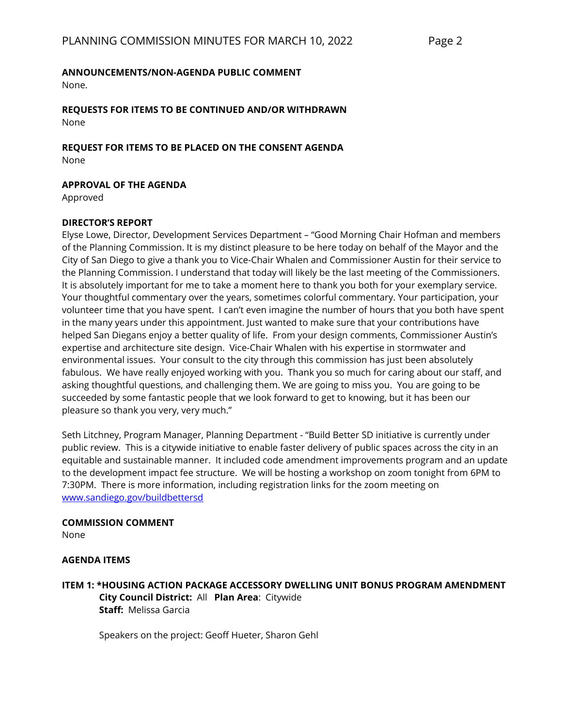#### **ANNOUNCEMENTS/NON-AGENDA PUBLIC COMMENT**

None.

**REQUESTS FOR ITEMS TO BE CONTINUED AND/OR WITHDRAWN** None

**REQUEST FOR ITEMS TO BE PLACED ON THE CONSENT AGENDA** None

**APPROVAL OF THE AGENDA**

Approved

#### **DIRECTOR'S REPORT**

Elyse Lowe, Director, Development Services Department – "Good Morning Chair Hofman and members of the Planning Commission. It is my distinct pleasure to be here today on behalf of the Mayor and the City of San Diego to give a thank you to Vice-Chair Whalen and Commissioner Austin for their service to the Planning Commission. I understand that today will likely be the last meeting of the Commissioners. It is absolutely important for me to take a moment here to thank you both for your exemplary service. Your thoughtful commentary over the years, sometimes colorful commentary. Your participation, your volunteer time that you have spent. I can't even imagine the number of hours that you both have spent in the many years under this appointment. Just wanted to make sure that your contributions have helped San Diegans enjoy a better quality of life. From your design comments, Commissioner Austin's expertise and architecture site design. Vice-Chair Whalen with his expertise in stormwater and environmental issues. Your consult to the city through this commission has just been absolutely fabulous. We have really enjoyed working with you. Thank you so much for caring about our staff, and asking thoughtful questions, and challenging them. We are going to miss you. You are going to be succeeded by some fantastic people that we look forward to get to knowing, but it has been our pleasure so thank you very, very much."

Seth Litchney, Program Manager, Planning Department - "Build Better SD initiative is currently under public review. This is a citywide initiative to enable faster delivery of public spaces across the city in an equitable and sustainable manner. It included code amendment improvements program and an update to the development impact fee structure. We will be hosting a workshop on zoom tonight from 6PM to 7:30PM. There is more information, including registration links for the zoom meeting on [www.sandiego.gov/buildbettersd](http://www.sandiego.gov/buildbettersd)

# **COMMISSION COMMENT**

None

#### **AGENDA ITEMS**

### **ITEM 1: \*HOUSING ACTION PACKAGE ACCESSORY DWELLING UNIT BONUS PROGRAM AMENDMENT City Council District:** All **Plan Area**: Citywide **Staff:** Melissa Garcia

Speakers on the project: Geoff Hueter, Sharon Gehl